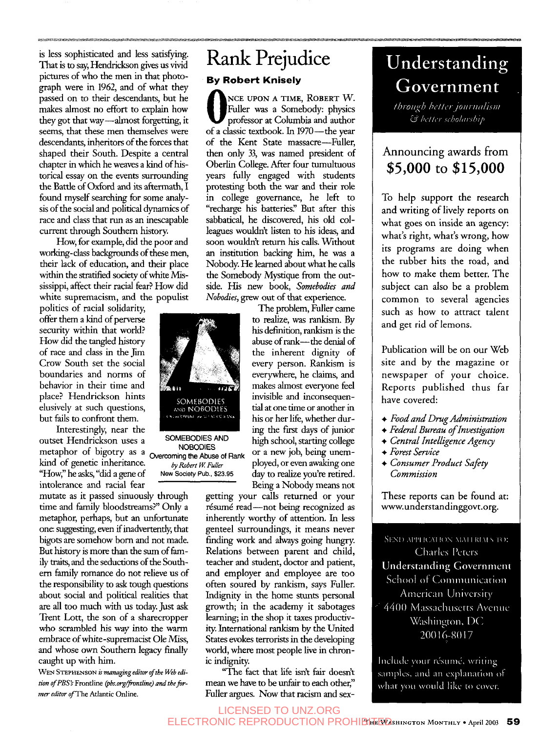is less sophisticated and less satisfymg. That is to say, Hendrickson *gives* us vivid pictures of who the men in that photograph were in 1962, and of what they passed on to their descendants, but he makes almost no effort to explain how they got that way-almost forgetting, it seems, that these men themselves were descendants, inheritors of the forces that shaped their South. Despite a central chapter in which he weaves a kind of historical essay on the events surrounding the Battle of Oxford and its aftermath, I found myself searching for some analysis of the social and political dynamics of race and class that run as an inescapable current through Southern history.

How, for example, did the poor and workmg-class backgrounds of these men, their lack of education, and their place within the **stratified** society of white **Mis**sissippi, affect their racial fear? How did white supremacism, and the populist

politics of racial solidarity, offer them a kind of perverse security within that world? How did the tangled history of race and class in the Jim Crow South set the social boundaries and norms of behavior in their time and place? Hendrickson hints elusively at such questions, but fails to confront them.

Interestingly, near the Interestingly, near the **112. Interesting of interesting of** *SOMEBODIES AND nigh school, starting college* **AND HIGHT SCHOOLS AND AND IN SCHOOL IS METAL SCHOOLS** metaphor of bigotry as a Overcoming the *Abuse* of Rank or a new job, being unemkind of genetic inheritance.  $\frac{b}{y \text{ Robert } W \text{ Fuller}}$  ployed, or even awaking one ''How:' he **asks,** "did a gene of **New Society Pub., \$23.95** day to realize you're retired. intolerance and racial fear Being a Nobody means not

mutate **as** it passed sinuously through time and family bloodstreams?" Only a metaphor, perhaps, but an unfortunate one: suggesting, even if inadvertently, that bigots are somehow born and not made. But history is more than the sum of fam*ily* **traits,** and the seductions of the Southem family mmance do not relieve us of the responsibility to ask tough questions about social and political realities that **are all** too much with us today. Just ask Trent Lott, the son of a sharecropper who scrambled his way into the warm embrace of white-supremacist Ole **Miss,**  and whose own Southern legacy finally caught up with him.

WEN STEPHENSON is *managing editor of the Web edi*tion of PBS's Frontline (pbs.org/frontline) and the for*mer editor* ofThe *Atlantic Online.* 

## Rank Prejudice **By Robert Knisely**

**NCE UPON A TIME, ROBERT W.**<br>
Fuller was a Somebody: physics<br>
professor at Columbia and author<br>
of a classic textbook In 1970—the war of a classic textbook. In 1970-the year of the Kent State massacre-Fuller, then only *33,* was named president of Oberlin College. After four tumultuous years fully engaged with students protesting both the war and their role in college governance, he left to "recharge his batteries." But after this sabbatical, he discovered, his old colleagues wouldn't listen to his ideas, and soon wouldn't return his calls. Without an institution backing him, he was a Nobody. He learned about what he calls the Somebody Mystique from the outside. His new book, *Somebodies and Nobodies.* **mew** out of that experience.

The problem, Fuller came to realize, was rankism. By his definition, rankism is the abuse of rank---the denial of the inherent dignity of every person. Rankism is everywhere, he claims, and makes almost everyone feel invisible and inconsequential at one time or another in his or her life, whether dur-

getting your calls returned or your résumé read-not being recognized as inherently worthy of attention. In less genteel surroundings, it means never finding work and **always** going hungry. Relations between parent and child, teacher and student, doctor and patient, and employer and employee are too often soured by rankism, says Fuller. Indignity in the home stunts personal growth; in the academy it sabotages learning; in the shop it taxes productivity. International rankism by the United States evokes terrorists in the developing world, where most people live in chronic indignity.

"The fact that life isn't fair doesn't mean we have to be unfair to each other," Fuller argues. Now that racism and *sex-*

# Understanding Government

through better journalism & better scholarship

### Announcing awards from **\$5,000** to **\$15,000**

To help support the research and writing of lively reports on what goes on inside an agency: what's right, what's wrong, how its programs are doing when the rubber hits the road, and how to make them better. The subject can also be a problem common to several agencies such as how to attract talent and get rid of lemons.

Publication will be on our Web site and by the magazine or newspaper of your choice. Reports published thus far have covered:

- + *Food and Drug Administration*
- + *Federal Bureau of Investigation*
- + *Central Intelligence Agency*
- + *Forest Service*
- + *Consumer Product Safely Commission*

These reports can be found at: www.understandinggovt.org.

SEND APPLICATION MATERIALS TO: **Charles Peters Understanding Government** School of Communication American University 4400 Massachusetts Avenue Washington, DC 20016-8017

Include your résumé, writing samples, and an explanation of what you would like to cover.

SOMEBODIES<br>AND NOBODIES INCOMING HEALT STOLEN VS

LICENSED TO UNZ.ORG

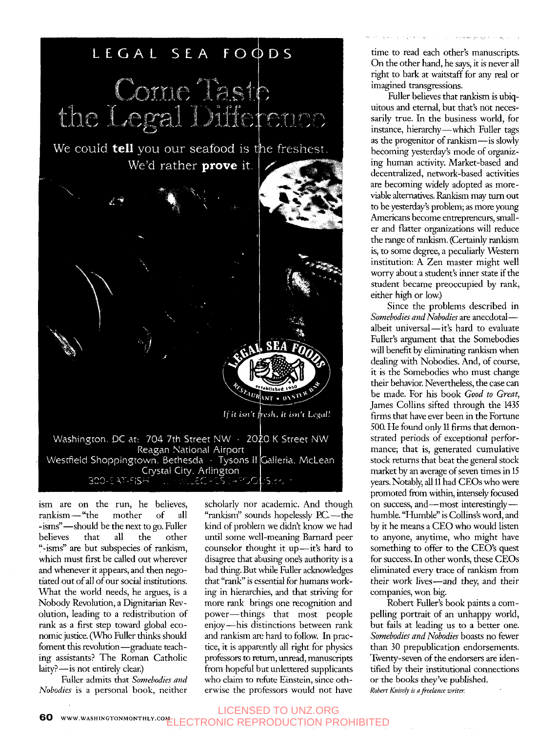

ism are on the run, he believes, rankism-"the mother of all -isms"-should be the next to go. Fuller believes that all the other "-isms" are but subspecies of rankism, which must first be called out wherever and whenever it appears, and then negotiated out of **all** of our social institutions. What the world needs, he argues, is a Nobody Revolution, a Dignitarian Revolution, leading to a redistribution of rank as a first step toward global economic justice. *(Who* Fuller thinks should foment this revolution-graduate teaching assistants? The Roman Catholic laity?-is not entirely clear.)

Fuller admits that *Somebodies and Nobodies* is a personal book, neither

scholarly nor academic. And though "rankism" sounds hopelessly P.C. -- the kind of problern we didn't know we had until some well-meaning Bamard peer counselor thought it up-it's hard to disagree that abusing one's authority is a bad thing. But while Fuller acknowledges that "rank" is essential for humans working in hierarchies, and that striving for more rank brings one recognition and power-things that most people enjoy-his distinctions between rank and rankism are hard to follow. In practice, it is apparently all right for physics professors to return, unread, manuscripts from hopeful but unlettered supplicants who claim to refute Einstein, since otherwise the professors would not have

time to read each other's manuscripts. On the other hand, he says, it is never all right to bark at waitstaff for any real or imagined transgressions.

Fuller believes that rankism is ubiquitous and eternal, but that's not necessarily true. In the business world, for instance, hierarchy-which Fuller tags as the progenitor of rankism-is slowly becoming yesterday's mode of organizing human activity. Market-based and decentralized, network-based activities are becoming widely adopted as moreviable alternatives. Rankism may turn out to be yesterday's problem; **as** more young Americans become entrepreneurs, smaller and flatter organizations will reduce the range of rankism. (Certainly rankism is, to some degree, a peculiarly Western institution: **A** Zen master might well worry about a student's inner state if the student became preoccupied by rank, either high or low.)

Since the problems described in *Somebodies and Nobodies* are anecdotalalbeit universal—it's hard to evaluate Fuller's argument that the Somebodies will benefit by eliminating rankism when dealing with Nobodies. And, of course, it is the Somebodies who must change their behavior. Nevertheless, the case can be made. For his book *Good to Great,*  James Collins sifted through the 1435 firms that have ever been in the Fortune 500. He found only 11 **firms** that demonstrated periods of exceptional performance; that is, generated cumulative stock returns that beat the general stock market by an average of seven times in 15 years. Notably, **all** 11 had CEOs who were promoted from within, intensely focused on success, and-most interestinglyhumble. "Humble" is Collins's word, and by it he means a CEO who would listen to anyone, anytime, who might have something to offer to the CEO's quest for success. In other words, these CEOs eliminated every trace of rankism from their work lives-and they, and their companies, won big.

Robert Fuller's book paints a compelling portrait of an unhappy world, but fails at leading us to a better one. *Somebodies and Nobodies* boasts no fewer **than** 30 prepublication endorsements. Twenty-seven of the endorsers **are** identified by their institutional connections or the books they've published. *Robert Knisely is a freelance writer.* 

**60** WWW.WASHINGTONMONTHLY.COM<sub>LI</sub> COTOONIC DEDDONICTION DD TRONIC REPRODUCTION PROHIBITED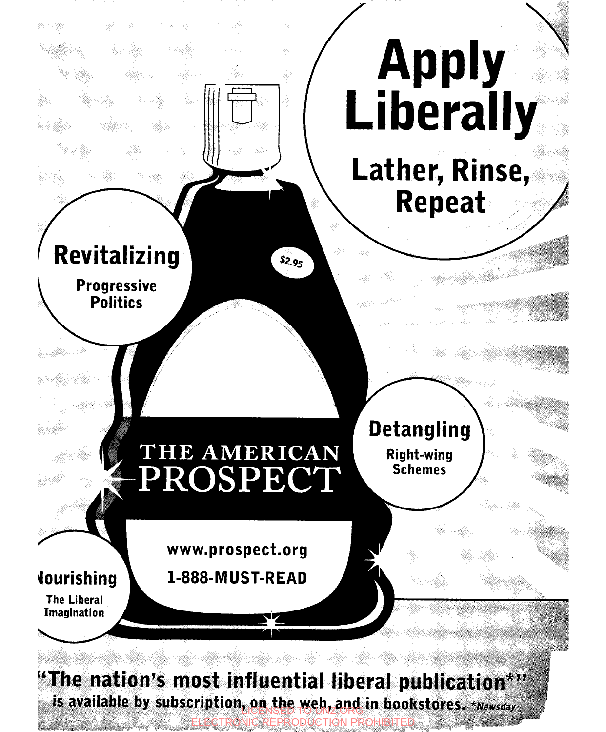